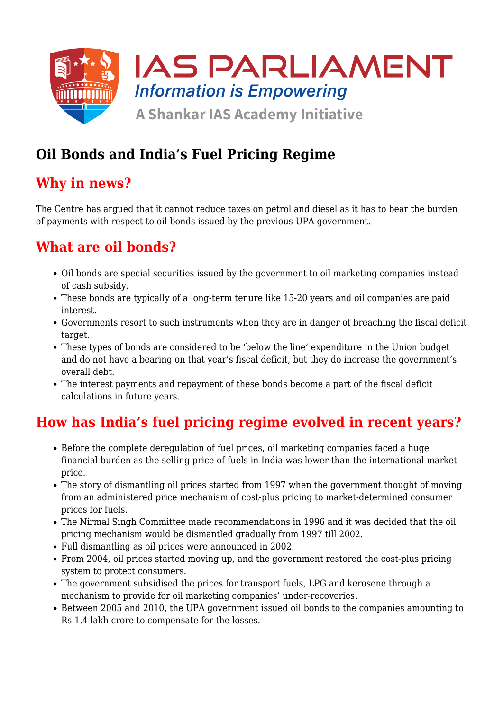

# **Oil Bonds and India's Fuel Pricing Regime**

### **Why in news?**

The Centre has argued that it cannot reduce taxes on petrol and diesel as it has to bear the burden of payments with respect to oil bonds issued by the previous UPA government.

# **What are oil bonds?**

- Oil bonds are special securities issued by the government to oil marketing companies instead of cash subsidy.
- These bonds are typically of a long-term tenure like 15-20 years and oil companies are paid interest.
- Governments resort to such instruments when they are in danger of breaching the fiscal deficit target.
- These types of bonds are considered to be 'below the line' expenditure in the Union budget and do not have a bearing on that year's fiscal deficit, but they do increase the government's overall debt.
- The interest payments and repayment of these bonds become a part of the fiscal deficit calculations in future years.

# **How has India's fuel pricing regime evolved in recent years?**

- Before the complete deregulation of fuel prices, oil marketing companies faced a huge financial burden as the selling price of fuels in India was lower than the international market price.
- The story of dismantling oil prices started from 1997 when the government thought of moving from an administered price mechanism of cost-plus pricing to market-determined consumer prices for fuels.
- The Nirmal Singh Committee made recommendations in 1996 and it was decided that the oil pricing mechanism would be dismantled gradually from 1997 till 2002.
- Full dismantling as oil prices were announced in 2002.
- From 2004, oil prices started moving up, and the government restored the cost-plus pricing system to protect consumers.
- The government subsidised the prices for transport fuels, LPG and kerosene through a mechanism to provide for oil marketing companies' under-recoveries.
- Between 2005 and 2010, the UPA government issued oil bonds to the companies amounting to Rs 1.4 lakh crore to compensate for the losses.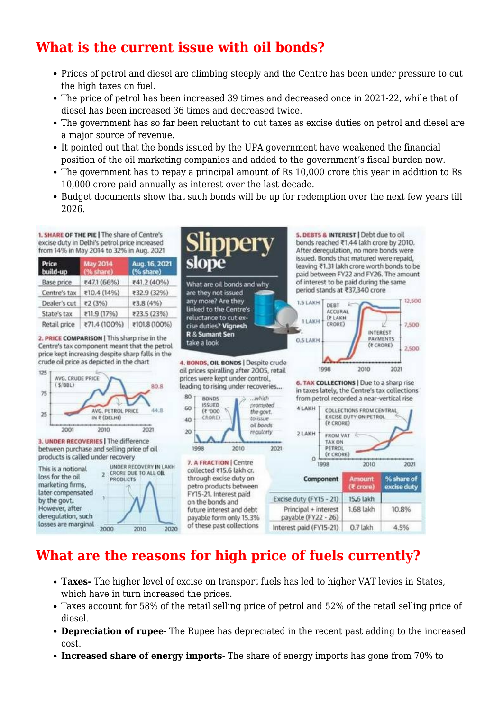## **What is the current issue with oil bonds?**

- Prices of petrol and diesel are climbing steeply and the Centre has been under pressure to cut the high taxes on fuel.
- The price of petrol has been increased 39 times and decreased once in 2021-22, while that of diesel has been increased 36 times and decreased twice.
- The government has so far been reluctant to cut taxes as excise duties on petrol and diesel are a major source of revenue.
- It pointed out that the bonds issued by the UPA government have weakened the financial position of the oil marketing companies and added to the government's fiscal burden now.
- The government has to repay a principal amount of Rs 10,000 crore this year in addition to Rs 10,000 crore paid annually as interest over the last decade.
- Budget documents show that such bonds will be up for redemption over the next few years till 2026.

pperv

What are oil bonds and why

are they not issued any more? Are they

linked to the Centre's

reluctance to cut ex-

cise duties? Vignesh

**R & Sumant Sen** 

take a look

5. DEBTS & INTEREST | Debt due to oil

period stands at ₹37,340 crore

DEBT

**AFFURAL** 

(FLAKH

CRORE)

**1.5 LAKH** 

**TLAKH** 

**O.S.LAKH** 

bonds reached ₹1.44 lakh crore by 2010.

After deregulation, no more bonds were issued. Bonds that matured were repaid, leaving ₹1.31 lakh crore worth bonds to be paid between FY22 and FY26. The amount of interest to be paid during the same

12,500

7,500

2,500

INTEREST

PAYMENTS

(*t* CRORE)

1. SHARE OF THE PIE | The share of Centre's excise duty in Delhi's petrol price increased from 14% in May 2014 to 32% in Aug. 2021

| Price<br>build-up | <b>May 2014</b><br>(% share) | Aug. 16, 2021<br>(% share) |
|-------------------|------------------------------|----------------------------|
| <b>Base price</b> | ₹47.1 (66%)                  | ₹41.2 (40%)                |
| Centre's tax      | ₹10.4 (14%)                  | ₹32.9 (32%)                |
| Dealer's cut      | ₹2 (3%)                      | ₹3.8 (4%)                  |
| State's tax       | ₹11.9 (17%)                  | ₹23.5 (23%)                |
| Retail price      | ₹71.4 (100%)                 | ₹101.8 (100%)              |

2. PRICE COMPARISON | This sharp rise in the Centre's tax component meant that the petrol price kept increasing despite sharp falls in the crude oil price as depicted in the chart



### **What are the reasons for high price of fuels currently?**

- **Taxes-** The higher level of excise on transport fuels has led to higher VAT levies in States, which have in turn increased the prices.
- Taxes account for 58% of the retail selling price of petrol and 52% of the retail selling price of diesel.
- **Depreciation of rupee** The Rupee has depreciated in the recent past adding to the increased cost.
- **Increased share of energy imports** The share of energy imports has gone from 70% to